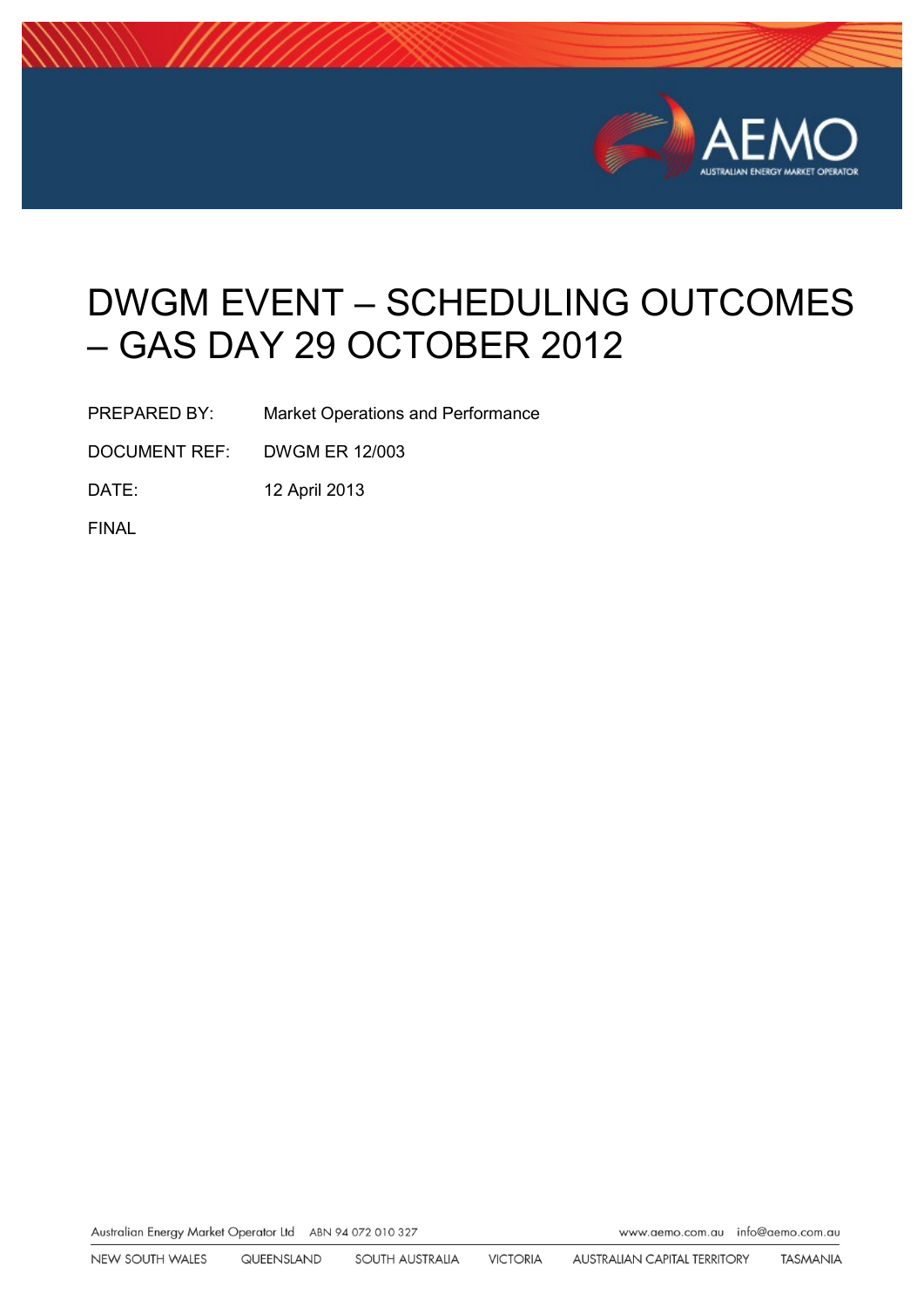

# DWGM EVENT – SCHEDULING OUTCOMES – GAS DAY 29 OCTOBER 2012

PREPARED BY: Market Operations and Performance

DOCUMENT REF: DWGM ER 12/003

DATE: 12 April 2013

FINAL

Australian Energy Market Operator Ltd ABN 94 072 010 327

www.aemo.com.au info@aemo.com.au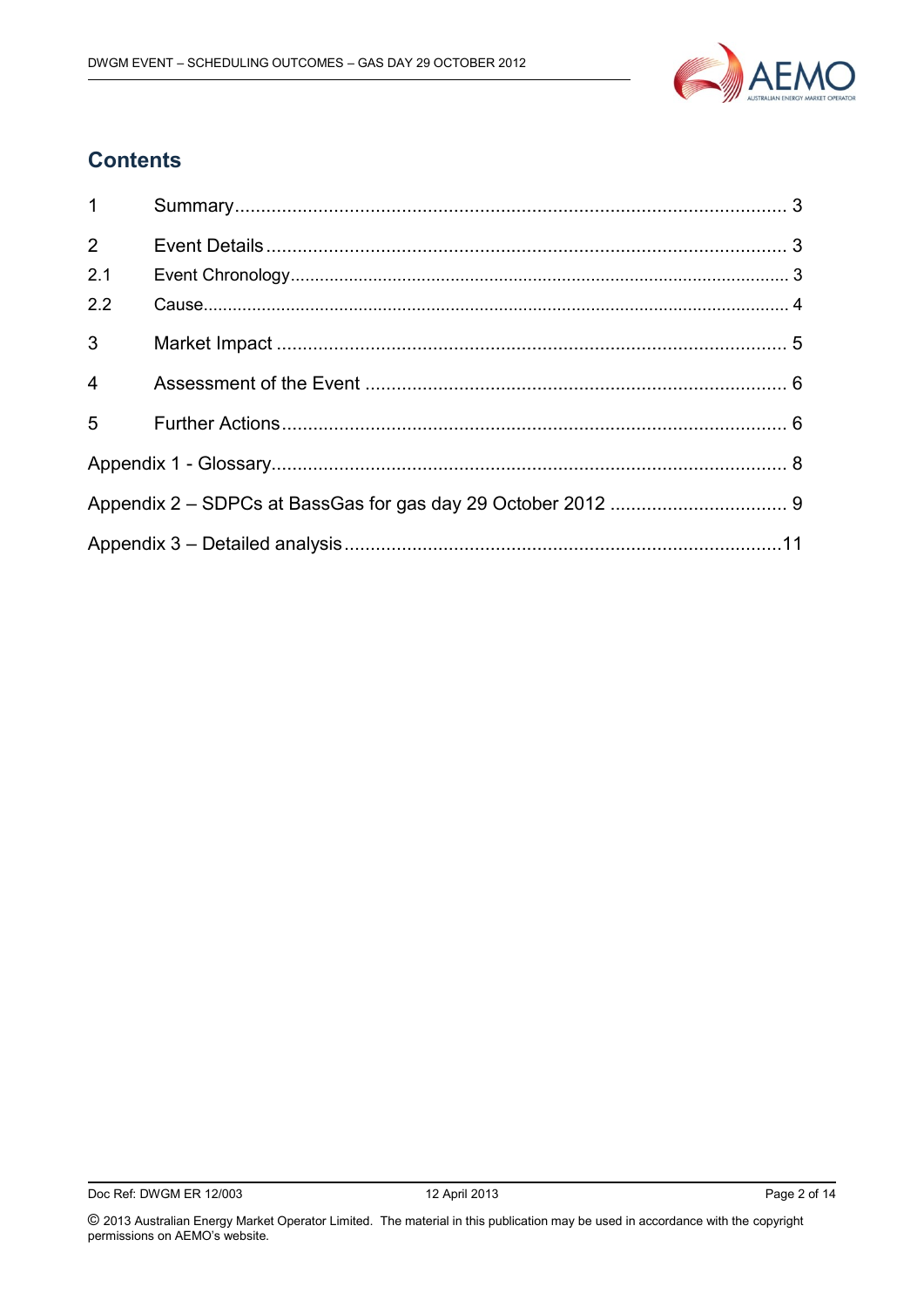

## **Contents**

| $\mathbf{1}$   |  |
|----------------|--|
| 2              |  |
| 2.1            |  |
| 2.2            |  |
| 3              |  |
| $\overline{4}$ |  |
| 5              |  |
|                |  |
|                |  |
|                |  |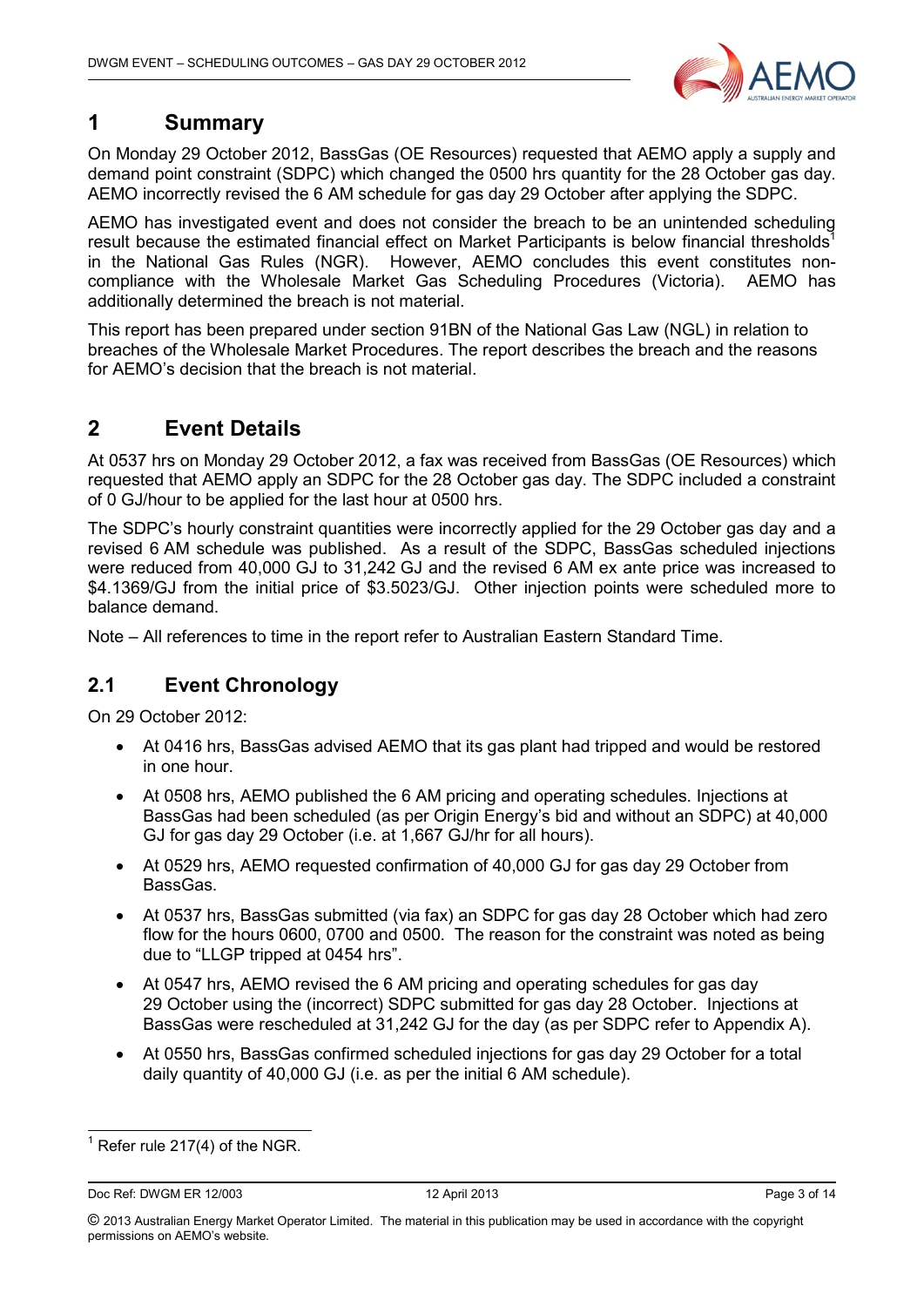

## <span id="page-2-0"></span>**1 Summary**

On Monday 29 October 2012, BassGas (OE Resources) requested that AEMO apply a supply and demand point constraint (SDPC) which changed the 0500 hrs quantity for the 28 October gas day. AEMO incorrectly revised the 6 AM schedule for gas day 29 October after applying the SDPC.

AEMO has investigated event and does not consider the breach to be an unintended scheduling result because the estimated financial effect on Market Participants is below financial thresholds<sup>1</sup> in the National Gas Rules (NGR). However, AEMO concludes this event constitutes noncompliance with the Wholesale Market Gas Scheduling Procedures (Victoria). AEMO has additionally determined the breach is not material.

This report has been prepared under section 91BN of the National Gas Law (NGL) in relation to breaches of the Wholesale Market Procedures. The report describes the breach and the reasons for AEMO's decision that the breach is not material.

## <span id="page-2-1"></span>**2 Event Details**

At 0537 hrs on Monday 29 October 2012, a fax was received from BassGas (OE Resources) which requested that AEMO apply an SDPC for the 28 October gas day. The SDPC included a constraint of 0 GJ/hour to be applied for the last hour at 0500 hrs.

The SDPC's hourly constraint quantities were incorrectly applied for the 29 October gas day and a revised 6 AM schedule was published. As a result of the SDPC, BassGas scheduled injections were reduced from 40,000 GJ to 31,242 GJ and the revised 6 AM ex ante price was increased to \$4.1369/GJ from the initial price of \$3.5023/GJ. Other injection points were scheduled more to balance demand.

Note – All references to time in the report refer to Australian Eastern Standard Time.

### <span id="page-2-2"></span>**2.1 Event Chronology**

On 29 October 2012:

- At 0416 hrs, BassGas advised AEMO that its gas plant had tripped and would be restored in one hour.
- At 0508 hrs, AEMO published the 6 AM pricing and operating schedules. Injections at BassGas had been scheduled (as per Origin Energy's bid and without an SDPC) at 40,000 GJ for gas day 29 October (i.e. at 1,667 GJ/hr for all hours).
- At 0529 hrs, AEMO requested confirmation of 40,000 GJ for gas day 29 October from BassGas.
- At 0537 hrs, BassGas submitted (via fax) an SDPC for gas day 28 October which had zero flow for the hours 0600, 0700 and 0500. The reason for the constraint was noted as being due to "LLGP tripped at 0454 hrs".
- At 0547 hrs, AEMO revised the 6 AM pricing and operating schedules for gas day 29 October using the (incorrect) SDPC submitted for gas day 28 October. Injections at BassGas were rescheduled at 31,242 GJ for the day (as per SDPC refer to Appendix A).
- At 0550 hrs, BassGas confirmed scheduled injections for gas day 29 October for a total daily quantity of 40,000 GJ (i.e. as per the initial 6 AM schedule).

<sup>-</sup> $<sup>1</sup>$  Refer rule 217(4) of the NGR.</sup>

Doc Ref: DWGM ER 12/003 12 April 2013 Page 3 of 14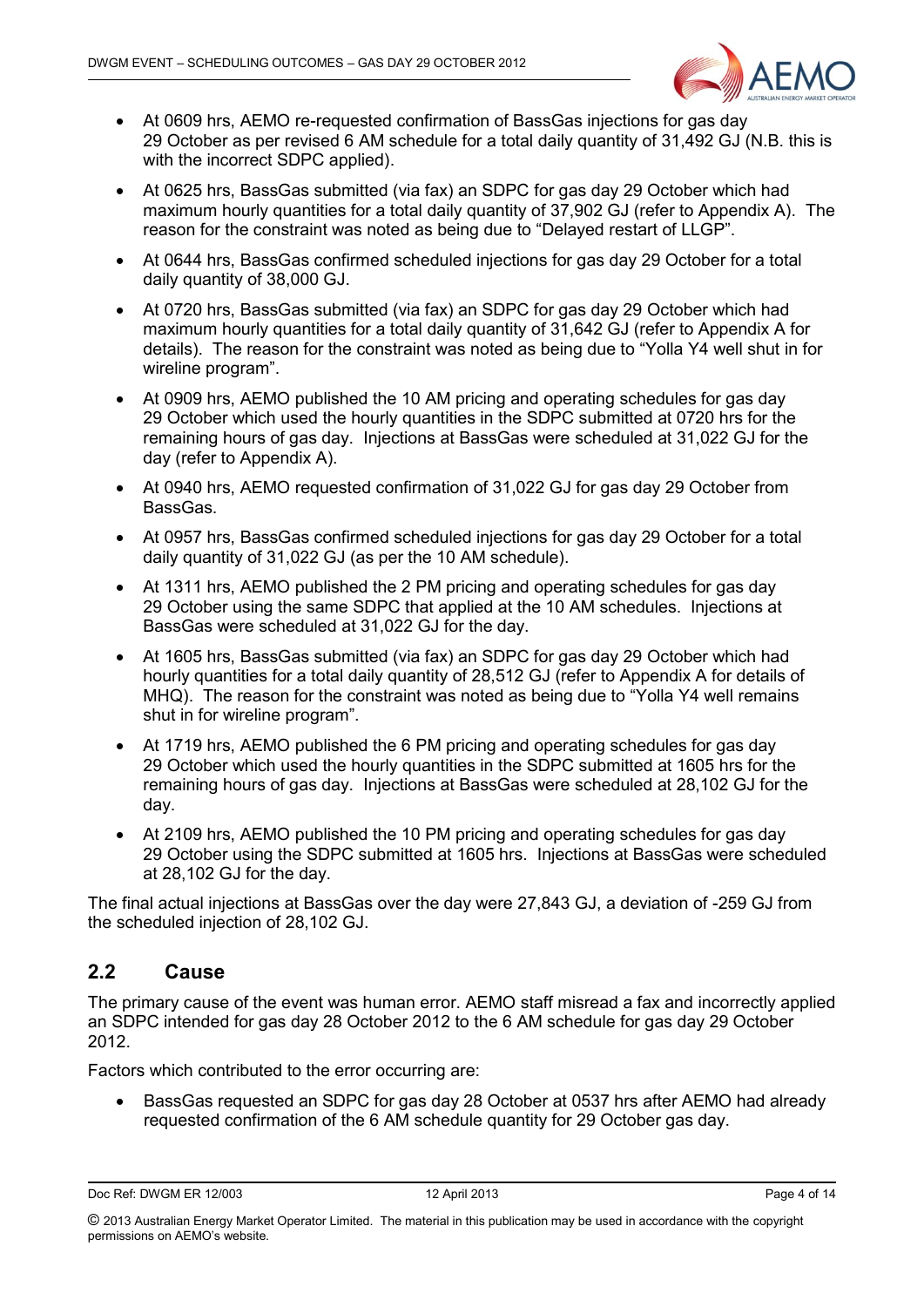

- At 0609 hrs, AEMO re-requested confirmation of BassGas injections for gas day 29 October as per revised 6 AM schedule for a total daily quantity of 31,492 GJ (N.B. this is with the incorrect SDPC applied).
- At 0625 hrs, BassGas submitted (via fax) an SDPC for gas day 29 October which had maximum hourly quantities for a total daily quantity of 37,902 GJ (refer to Appendix A). The reason for the constraint was noted as being due to "Delayed restart of LLGP".
- At 0644 hrs, BassGas confirmed scheduled injections for gas day 29 October for a total daily quantity of 38,000 GJ.
- At 0720 hrs, BassGas submitted (via fax) an SDPC for gas day 29 October which had maximum hourly quantities for a total daily quantity of 31,642 GJ (refer to Appendix A for details). The reason for the constraint was noted as being due to "Yolla Y4 well shut in for wireline program".
- At 0909 hrs, AEMO published the 10 AM pricing and operating schedules for gas day 29 October which used the hourly quantities in the SDPC submitted at 0720 hrs for the remaining hours of gas day. Injections at BassGas were scheduled at 31,022 GJ for the day (refer to Appendix A).
- At 0940 hrs, AEMO requested confirmation of 31,022 GJ for gas day 29 October from BassGas.
- At 0957 hrs, BassGas confirmed scheduled injections for gas day 29 October for a total daily quantity of 31,022 GJ (as per the 10 AM schedule).
- At 1311 hrs, AEMO published the 2 PM pricing and operating schedules for gas day 29 October using the same SDPC that applied at the 10 AM schedules. Injections at BassGas were scheduled at 31,022 GJ for the day.
- At 1605 hrs, BassGas submitted (via fax) an SDPC for gas day 29 October which had hourly quantities for a total daily quantity of 28,512 GJ (refer to Appendix A for details of MHQ). The reason for the constraint was noted as being due to "Yolla Y4 well remains shut in for wireline program".
- At 1719 hrs, AEMO published the 6 PM pricing and operating schedules for gas day 29 October which used the hourly quantities in the SDPC submitted at 1605 hrs for the remaining hours of gas day. Injections at BassGas were scheduled at 28,102 GJ for the day.
- At 2109 hrs, AEMO published the 10 PM pricing and operating schedules for gas day 29 October using the SDPC submitted at 1605 hrs. Injections at BassGas were scheduled at 28,102 GJ for the day.

The final actual injections at BassGas over the day were 27,843 GJ, a deviation of -259 GJ from the scheduled injection of 28,102 GJ.

#### <span id="page-3-0"></span>**2.2 Cause**

The primary cause of the event was human error. AEMO staff misread a fax and incorrectly applied an SDPC intended for gas day 28 October 2012 to the 6 AM schedule for gas day 29 October 2012.

Factors which contributed to the error occurring are:

 BassGas requested an SDPC for gas day 28 October at 0537 hrs after AEMO had already requested confirmation of the 6 AM schedule quantity for 29 October gas day.

Doc Ref: DWGM ER 12/003 12 April 2013 Page 4 of 14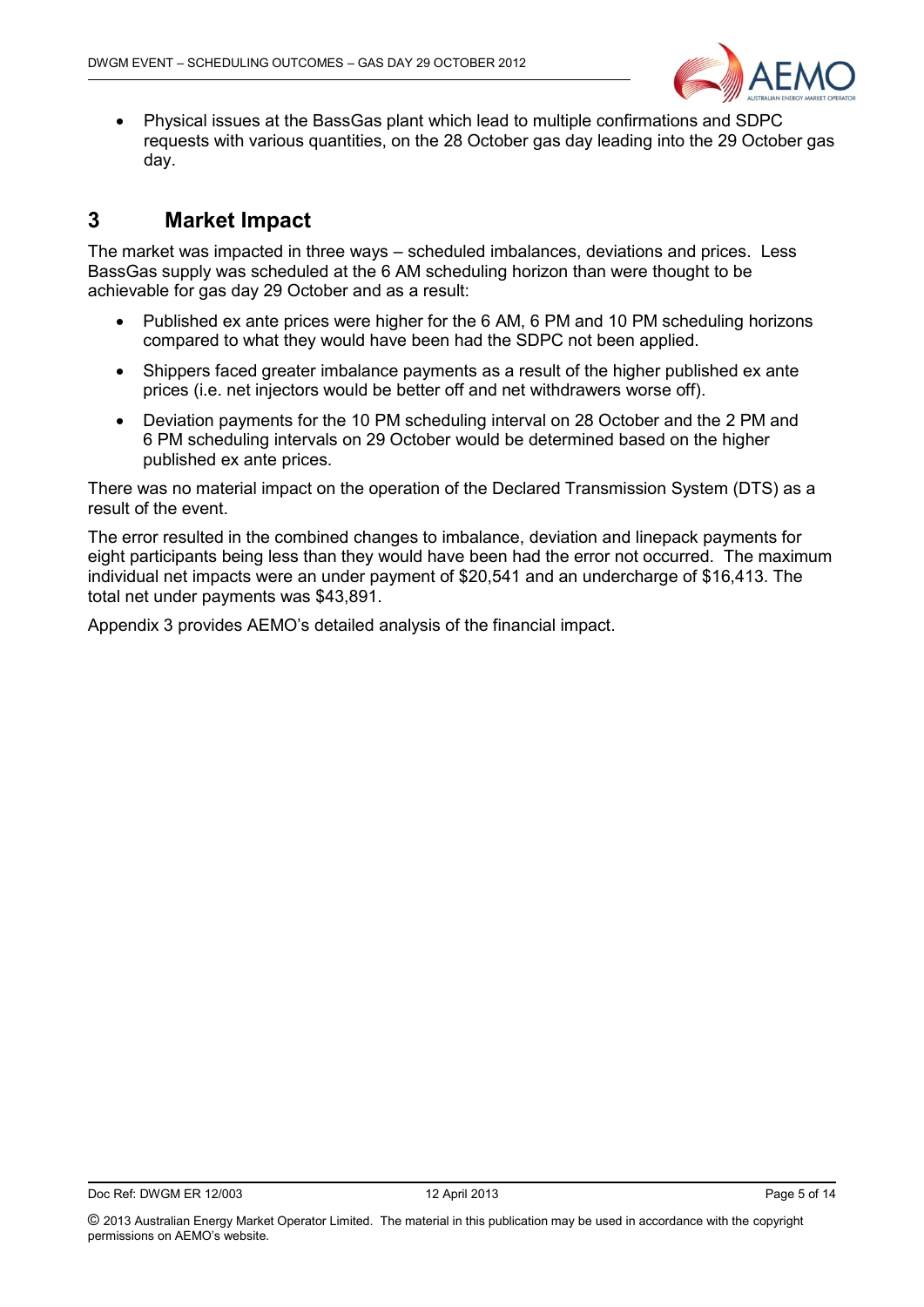

 Physical issues at the BassGas plant which lead to multiple confirmations and SDPC requests with various quantities, on the 28 October gas day leading into the 29 October gas day.

## <span id="page-4-0"></span>**3 Market Impact**

The market was impacted in three ways – scheduled imbalances, deviations and prices. Less BassGas supply was scheduled at the 6 AM scheduling horizon than were thought to be achievable for gas day 29 October and as a result:

- Published ex ante prices were higher for the 6 AM, 6 PM and 10 PM scheduling horizons compared to what they would have been had the SDPC not been applied.
- Shippers faced greater imbalance payments as a result of the higher published ex ante prices (i.e. net injectors would be better off and net withdrawers worse off).
- Deviation payments for the 10 PM scheduling interval on 28 October and the 2 PM and 6 PM scheduling intervals on 29 October would be determined based on the higher published ex ante prices.

There was no material impact on the operation of the Declared Transmission System (DTS) as a result of the event.

The error resulted in the combined changes to imbalance, deviation and linepack payments for eight participants being less than they would have been had the error not occurred. The maximum individual net impacts were an under payment of \$20,541 and an undercharge of \$16,413. The total net under payments was \$43,891.

Appendix 3 provides AEMO's detailed analysis of the financial impact.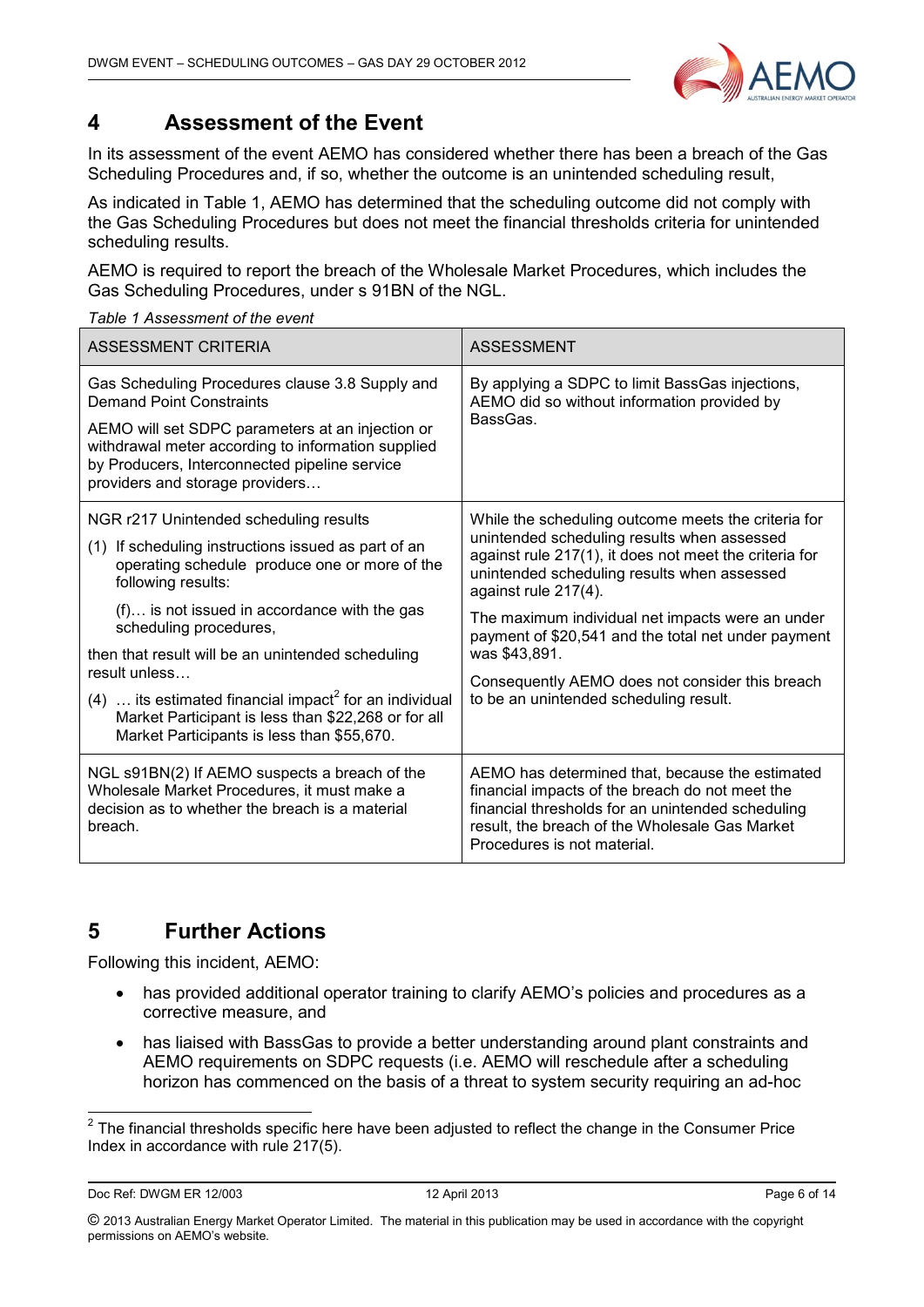

## <span id="page-5-0"></span>**4 Assessment of the Event**

In its assessment of the event AEMO has considered whether there has been a breach of the Gas Scheduling Procedures and, if so, whether the outcome is an unintended scheduling result,

As indicated in Table 1, AEMO has determined that the scheduling outcome did not comply with the Gas Scheduling Procedures but does not meet the financial thresholds criteria for unintended scheduling results.

AEMO is required to report the breach of the Wholesale Market Procedures, which includes the Gas Scheduling Procedures, under s 91BN of the NGL.

#### *Table 1 Assessment of the event*

| ASSESSMENT CRITERIA                                                                                                                                                                          | <b>ASSESSMENT</b>                                                                                                                                                                                                                        |
|----------------------------------------------------------------------------------------------------------------------------------------------------------------------------------------------|------------------------------------------------------------------------------------------------------------------------------------------------------------------------------------------------------------------------------------------|
| Gas Scheduling Procedures clause 3.8 Supply and<br><b>Demand Point Constraints</b><br>AEMO will set SDPC parameters at an injection or<br>withdrawal meter according to information supplied | By applying a SDPC to limit BassGas injections,<br>AEMO did so without information provided by<br>BassGas.                                                                                                                               |
| by Producers, Interconnected pipeline service<br>providers and storage providers                                                                                                             |                                                                                                                                                                                                                                          |
| NGR r217 Unintended scheduling results                                                                                                                                                       | While the scheduling outcome meets the criteria for<br>unintended scheduling results when assessed                                                                                                                                       |
| (1) If scheduling instructions issued as part of an<br>operating schedule produce one or more of the<br>following results:                                                                   | against rule 217(1), it does not meet the criteria for<br>unintended scheduling results when assessed<br>against rule 217(4).                                                                                                            |
| (f) is not issued in accordance with the gas<br>scheduling procedures,                                                                                                                       | The maximum individual net impacts were an under<br>payment of \$20,541 and the total net under payment                                                                                                                                  |
| then that result will be an unintended scheduling<br>result unless                                                                                                                           | was \$43,891.                                                                                                                                                                                                                            |
| $(4)$ its estimated financial impact <sup>2</sup> for an individual<br>Market Participant is less than \$22,268 or for all<br>Market Participants is less than \$55,670.                     | Consequently AEMO does not consider this breach<br>to be an unintended scheduling result.                                                                                                                                                |
| NGL s91BN(2) If AEMO suspects a breach of the<br>Wholesale Market Procedures, it must make a<br>decision as to whether the breach is a material<br>breach.                                   | AEMO has determined that, because the estimated<br>financial impacts of the breach do not meet the<br>financial thresholds for an unintended scheduling<br>result, the breach of the Wholesale Gas Market<br>Procedures is not material. |

## <span id="page-5-1"></span>**5 Further Actions**

Following this incident, AEMO:

- has provided additional operator training to clarify AEMO's policies and procedures as a corrective measure, and
- has liaised with BassGas to provide a better understanding around plant constraints and AEMO requirements on SDPC requests (i.e. AEMO will reschedule after a scheduling horizon has commenced on the basis of a threat to system security requiring an ad-hoc

**ENECT 2**<br><sup>2</sup> The financial thresholds specific here have been adjusted to reflect the change in the Consumer Price Index in accordance with rule 217(5).

Doc Ref: DWGM ER 12/003 12 April 2013 12 April 2013 12 April 2013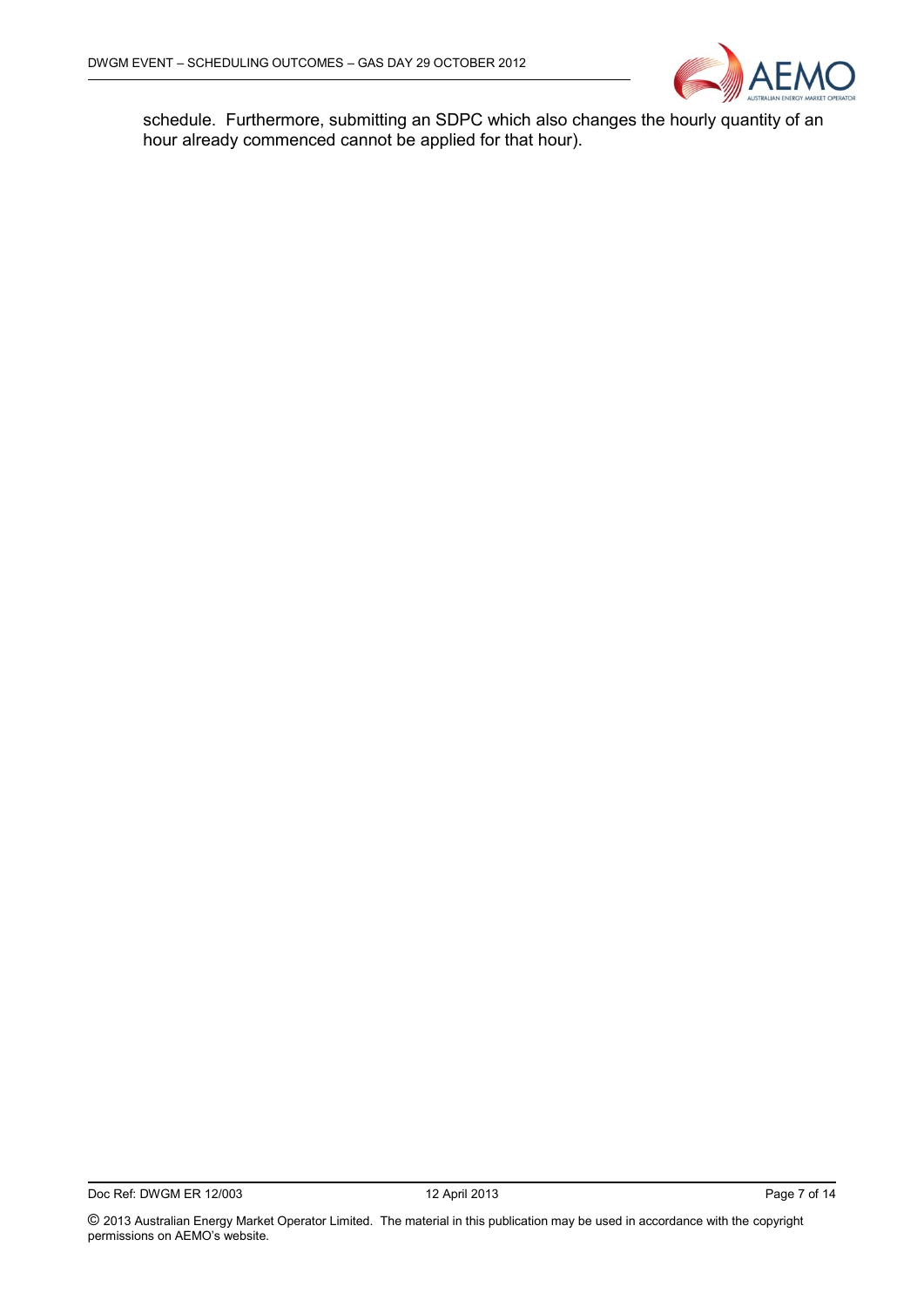

schedule. Furthermore, submitting an SDPC which also changes the hourly quantity of an hour already commenced cannot be applied for that hour).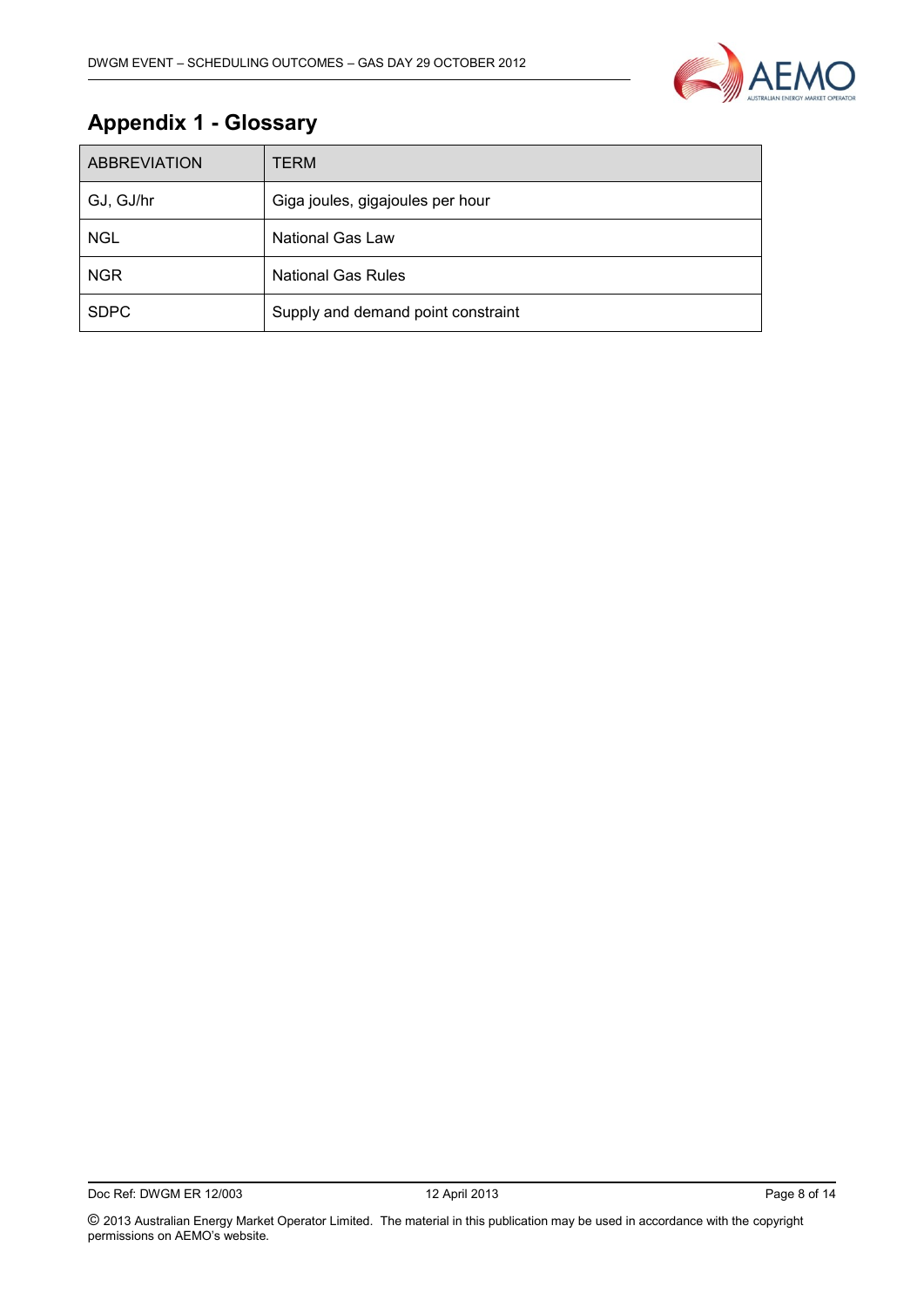

## <span id="page-7-0"></span>**Appendix 1 - Glossary**

| <b>ABBREVIATION</b> | TERM                               |
|---------------------|------------------------------------|
| GJ, GJ/hr           | Giga joules, gigajoules per hour   |
| <b>NGL</b>          | National Gas Law                   |
| <b>NGR</b>          | <b>National Gas Rules</b>          |
| <b>SDPC</b>         | Supply and demand point constraint |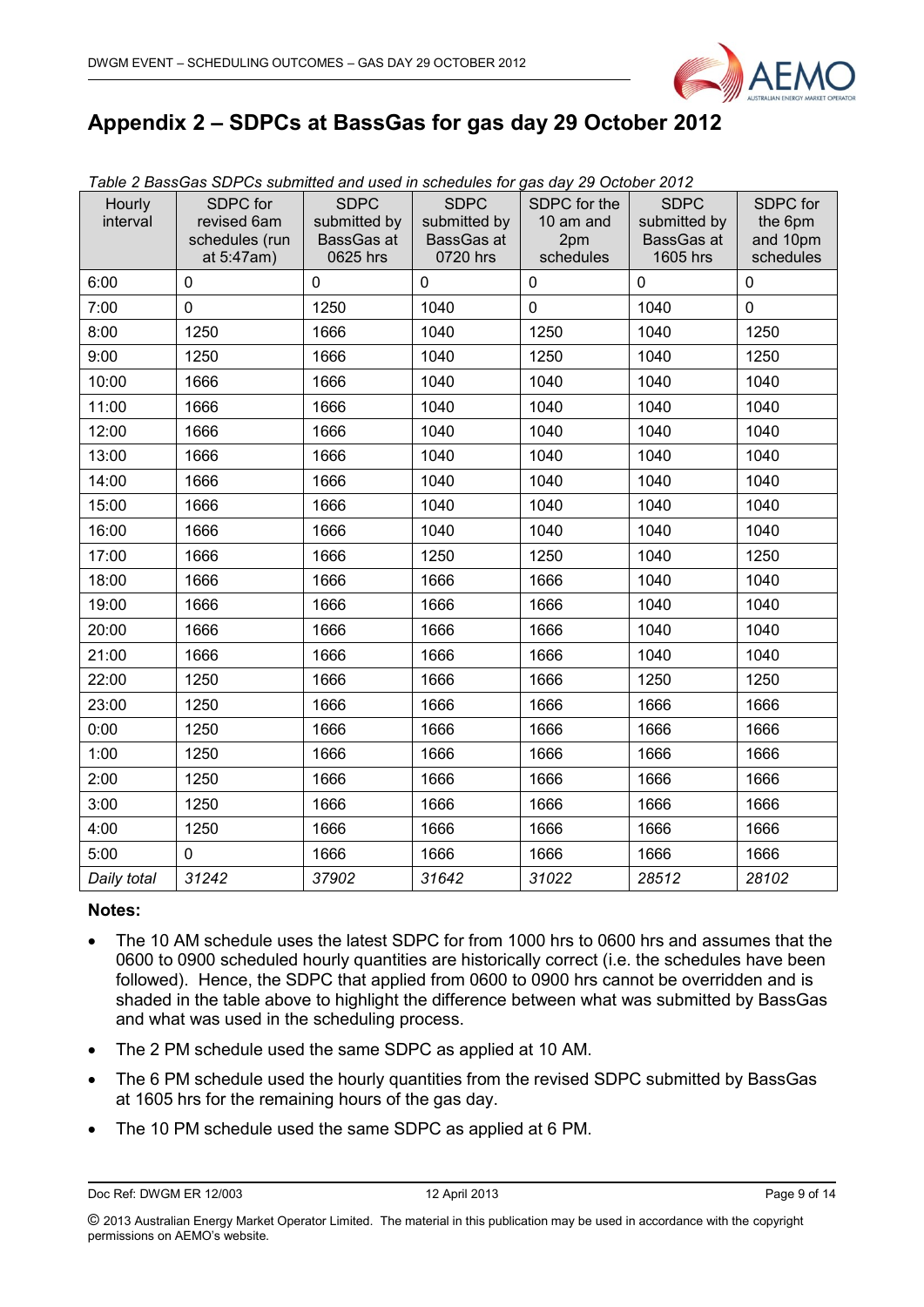

## <span id="page-8-0"></span>**Appendix 2 – SDPCs at BassGas for gas day 29 October 2012**

| Hourly<br>interval | SDPC for<br>revised 6am<br>schedules (run<br>at 5:47am) | <b>SDPC</b><br>submitted by<br>BassGas at<br>0625 hrs | <b>SDPC</b><br>submitted by<br>BassGas at<br>0720 hrs | SDPC for the<br>10 am and<br>2pm<br>schedules | <b>SDPC</b><br>submitted by<br>BassGas at<br>1605 hrs | SDPC for<br>the 6pm<br>and 10pm<br>schedules |
|--------------------|---------------------------------------------------------|-------------------------------------------------------|-------------------------------------------------------|-----------------------------------------------|-------------------------------------------------------|----------------------------------------------|
| 6:00               | $\mathbf 0$                                             | $\mathbf 0$                                           | $\mathbf 0$                                           | $\mathbf 0$                                   | $\mathbf 0$                                           | $\mathbf 0$                                  |
| 7:00               | $\mathbf 0$                                             | 1250                                                  | 1040                                                  | $\mathbf 0$                                   | 1040                                                  | $\mathbf 0$                                  |
| 8:00               | 1250                                                    | 1666                                                  | 1040                                                  | 1250                                          | 1040                                                  | 1250                                         |
| 9:00               | 1250                                                    | 1666                                                  | 1040                                                  | 1250                                          | 1040                                                  | 1250                                         |
| 10:00              | 1666                                                    | 1666                                                  | 1040                                                  | 1040                                          | 1040                                                  | 1040                                         |
| 11:00              | 1666                                                    | 1666                                                  | 1040                                                  | 1040                                          | 1040                                                  | 1040                                         |
| 12:00              | 1666                                                    | 1666                                                  | 1040                                                  | 1040                                          | 1040                                                  | 1040                                         |
| 13:00              | 1666                                                    | 1666                                                  | 1040                                                  | 1040                                          | 1040                                                  | 1040                                         |
| 14:00              | 1666                                                    | 1666                                                  | 1040                                                  | 1040                                          | 1040                                                  | 1040                                         |
| 15:00              | 1666                                                    | 1666                                                  | 1040                                                  | 1040                                          | 1040                                                  | 1040                                         |
| 16:00              | 1666                                                    | 1666                                                  | 1040                                                  | 1040                                          | 1040                                                  | 1040                                         |
| 17:00              | 1666                                                    | 1666                                                  | 1250                                                  | 1250                                          | 1040                                                  | 1250                                         |
| 18:00              | 1666                                                    | 1666                                                  | 1666                                                  | 1666                                          | 1040                                                  | 1040                                         |
| 19:00              | 1666                                                    | 1666                                                  | 1666                                                  | 1666                                          | 1040                                                  | 1040                                         |
| 20:00              | 1666                                                    | 1666                                                  | 1666                                                  | 1666                                          | 1040                                                  | 1040                                         |
| 21:00              | 1666                                                    | 1666                                                  | 1666                                                  | 1666                                          | 1040                                                  | 1040                                         |
| 22:00              | 1250                                                    | 1666                                                  | 1666                                                  | 1666                                          | 1250                                                  | 1250                                         |
| 23:00              | 1250                                                    | 1666                                                  | 1666                                                  | 1666                                          | 1666                                                  | 1666                                         |
| 0:00               | 1250                                                    | 1666                                                  | 1666                                                  | 1666                                          | 1666                                                  | 1666                                         |
| 1:00               | 1250                                                    | 1666                                                  | 1666                                                  | 1666                                          | 1666                                                  | 1666                                         |
| 2:00               | 1250                                                    | 1666                                                  | 1666                                                  | 1666                                          | 1666                                                  | 1666                                         |
| 3:00               | 1250                                                    | 1666                                                  | 1666                                                  | 1666                                          | 1666                                                  | 1666                                         |
| 4:00               | 1250                                                    | 1666                                                  | 1666                                                  | 1666                                          | 1666                                                  | 1666                                         |
| 5:00               | $\overline{0}$                                          | 1666                                                  | 1666                                                  | 1666                                          | 1666                                                  | 1666                                         |
| Daily total        | 31242                                                   | 37902                                                 | 31642                                                 | 31022                                         | 28512                                                 | 28102                                        |

*Table 2 BassGas SDPCs submitted and used in schedules for gas day 29 October 2012*

#### **Notes:**

- The 10 AM schedule uses the latest SDPC for from 1000 hrs to 0600 hrs and assumes that the 0600 to 0900 scheduled hourly quantities are historically correct (i.e. the schedules have been followed). Hence, the SDPC that applied from 0600 to 0900 hrs cannot be overridden and is shaded in the table above to highlight the difference between what was submitted by BassGas and what was used in the scheduling process.
- The 2 PM schedule used the same SDPC as applied at 10 AM.
- The 6 PM schedule used the hourly quantities from the revised SDPC submitted by BassGas at 1605 hrs for the remaining hours of the gas day.
- The 10 PM schedule used the same SDPC as applied at 6 PM.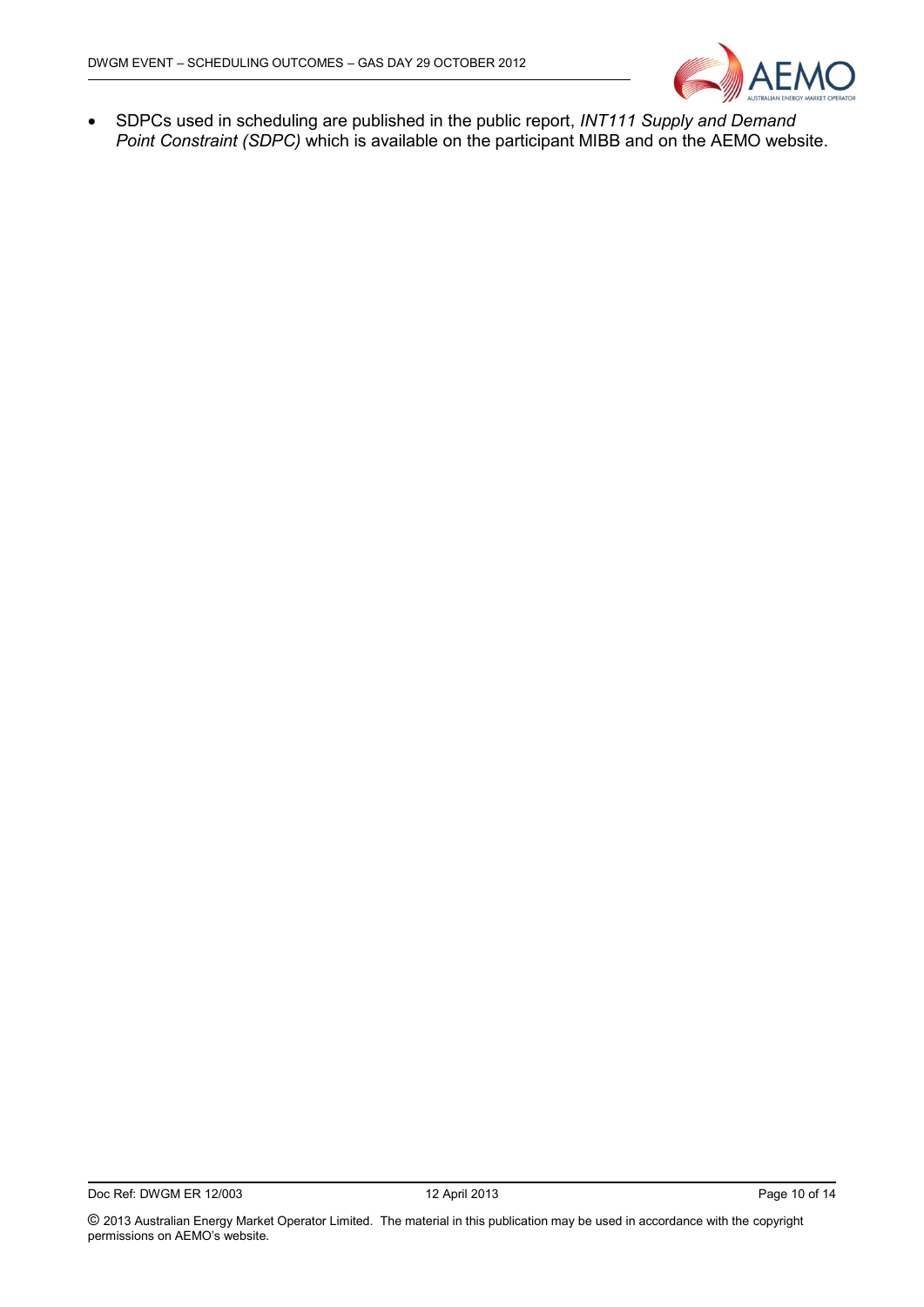

 SDPCs used in scheduling are published in the public report, *INT111 Supply and Demand Point Constraint (SDPC)* which is available on the participant MIBB and on the AEMO website.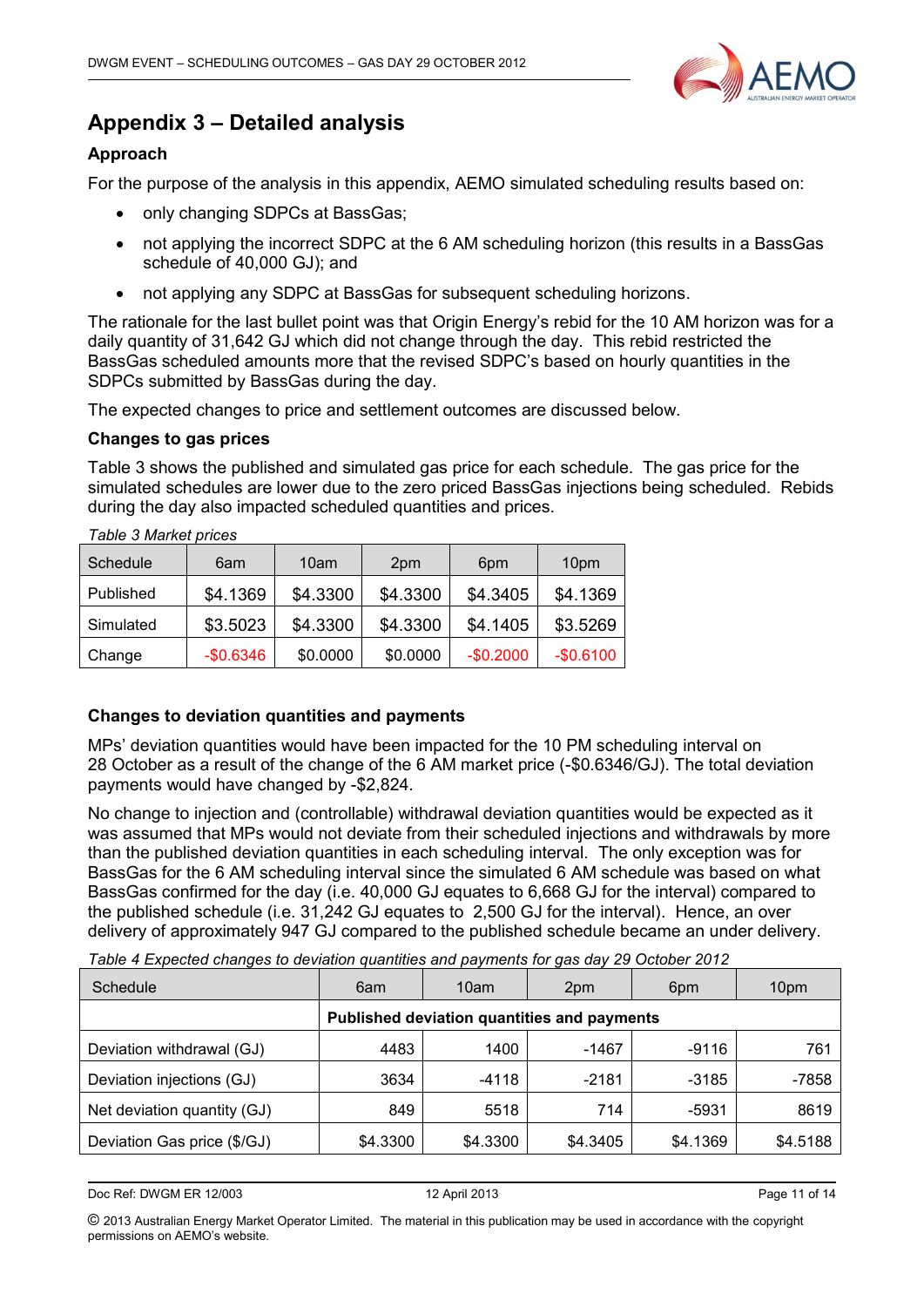

## <span id="page-10-0"></span>**Appendix 3 – Detailed analysis**

#### **Approach**

For the purpose of the analysis in this appendix, AEMO simulated scheduling results based on:

- only changing SDPCs at BassGas;
- not applying the incorrect SDPC at the 6 AM scheduling horizon (this results in a BassGas schedule of 40,000 GJ); and
- not applying any SDPC at BassGas for subsequent scheduling horizons.

The rationale for the last bullet point was that Origin Energy's rebid for the 10 AM horizon was for a daily quantity of 31,642 GJ which did not change through the day. This rebid restricted the BassGas scheduled amounts more that the revised SDPC's based on hourly quantities in the SDPCs submitted by BassGas during the day.

The expected changes to price and settlement outcomes are discussed below.

#### **Changes to gas prices**

Table 3 shows the published and simulated gas price for each schedule. The gas price for the simulated schedules are lower due to the zero priced BassGas injections being scheduled. Rebids during the day also impacted scheduled quantities and prices.

| Schedule  | 6am        | 10am     | 2pm      | 6pm        | 10pm       |
|-----------|------------|----------|----------|------------|------------|
| Published | \$4.1369   | \$4.3300 | \$4.3300 | \$4.3405   | \$4.1369   |
| Simulated | \$3.5023   | \$4.3300 | \$4.3300 | \$4.1405   | \$3.5269   |
| Change    | $-$0.6346$ | \$0.0000 | \$0.0000 | $-$0.2000$ | $-$0.6100$ |

*Table 3 Market prices*

#### **Changes to deviation quantities and payments**

MPs' deviation quantities would have been impacted for the 10 PM scheduling interval on 28 October as a result of the change of the 6 AM market price (-\$0.6346/GJ). The total deviation payments would have changed by -\$2,824.

No change to injection and (controllable) withdrawal deviation quantities would be expected as it was assumed that MPs would not deviate from their scheduled injections and withdrawals by more than the published deviation quantities in each scheduling interval. The only exception was for BassGas for the 6 AM scheduling interval since the simulated 6 AM schedule was based on what BassGas confirmed for the day (i.e. 40,000 GJ equates to 6,668 GJ for the interval) compared to the published schedule (i.e. 31,242 GJ equates to 2,500 GJ for the interval). Hence, an over delivery of approximately 947 GJ compared to the published schedule became an under delivery.

*Table 4 Expected changes to deviation quantities and payments for gas day 29 October 2012*

| Schedule                    | 6am      | 10am                                        | 2 <sub>pm</sub> | 6pm      | 10pm     |
|-----------------------------|----------|---------------------------------------------|-----------------|----------|----------|
|                             |          | Published deviation quantities and payments |                 |          |          |
| Deviation withdrawal (GJ)   | 4483     | 1400                                        | -1467           | -9116    | 761      |
| Deviation injections (GJ)   | 3634     | -4118                                       | $-2181$         | $-3185$  | -7858    |
| Net deviation quantity (GJ) | 849      | 5518                                        | 714             | -5931    | 8619     |
| Deviation Gas price (\$/GJ) | \$4.3300 | \$4.3300                                    | \$4.3405        | \$4.1369 | \$4.5188 |

Doc Ref: DWGM ER 12/003 12 April 2013 Page 11 of 14

© 2013 Australian Energy Market Operator Limited. The material in this publication may be used in accordance with the copyright permissions on AEMO's website.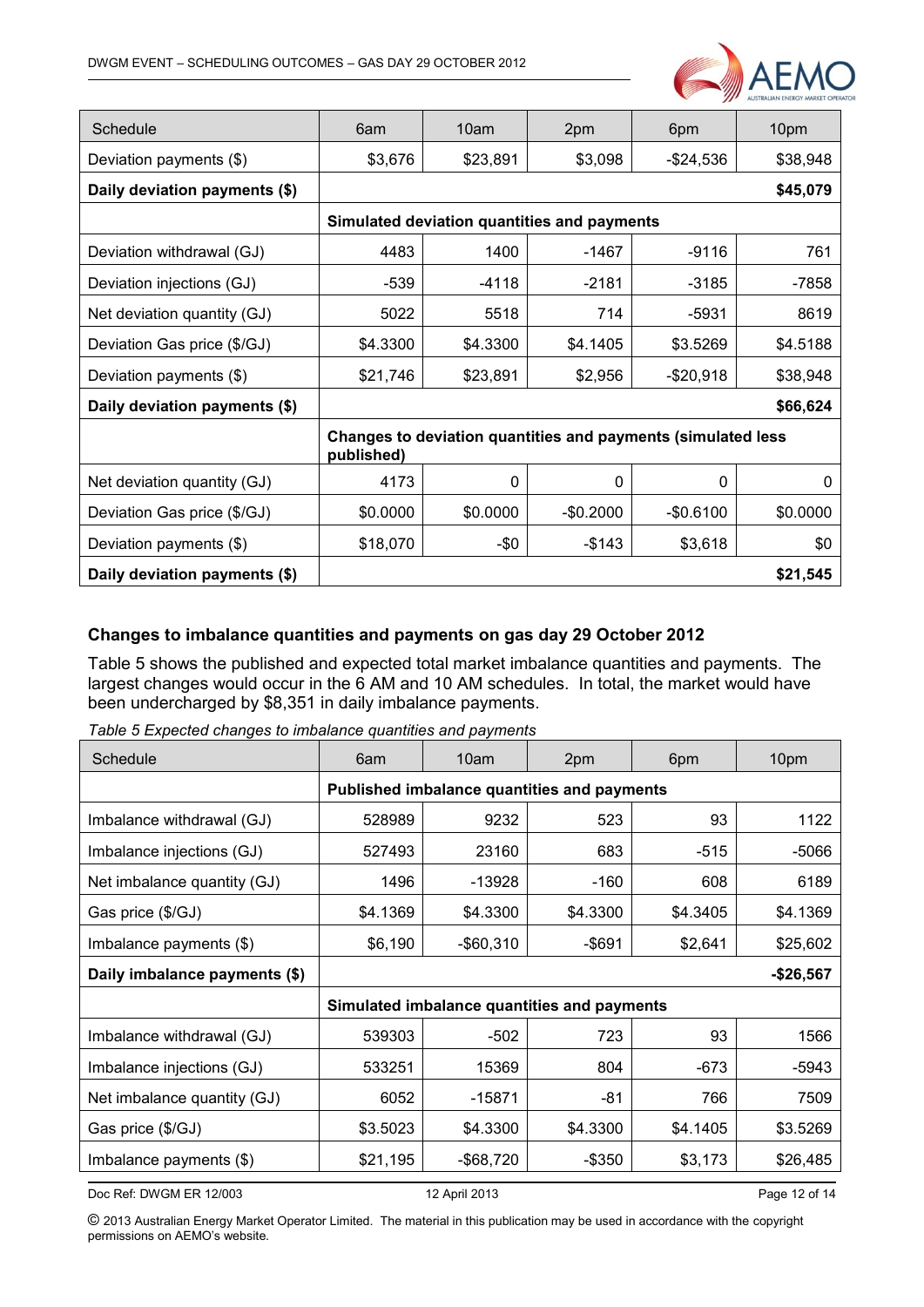

| Schedule                      | 6am        | 10am     | 2pm                                                          | 6pm        | 10pm     |
|-------------------------------|------------|----------|--------------------------------------------------------------|------------|----------|
| Deviation payments (\$)       | \$3,676    | \$23,891 | \$3,098                                                      | $-$24,536$ | \$38,948 |
| Daily deviation payments (\$) |            |          |                                                              |            | \$45,079 |
|                               |            |          | Simulated deviation quantities and payments                  |            |          |
| Deviation withdrawal (GJ)     | 4483       | 1400     | -1467                                                        | $-9116$    | 761      |
| Deviation injections (GJ)     | $-539$     | $-4118$  | $-2181$                                                      | -3185      | $-7858$  |
| Net deviation quantity (GJ)   | 5022       | 5518     | 714                                                          | $-5931$    | 8619     |
| Deviation Gas price (\$/GJ)   | \$4.3300   | \$4.3300 | \$4.1405                                                     | \$3.5269   | \$4.5188 |
| Deviation payments (\$)       | \$21,746   | \$23,891 | \$2,956                                                      | $-$20,918$ | \$38,948 |
| Daily deviation payments (\$) |            |          |                                                              |            | \$66,624 |
|                               | published) |          | Changes to deviation quantities and payments (simulated less |            |          |
| Net deviation quantity (GJ)   | 4173       | 0        | $\Omega$                                                     | $\Omega$   | 0        |
| Deviation Gas price (\$/GJ)   | \$0.0000   | \$0.0000 | $-$0.2000$                                                   | $-$0.6100$ | \$0.0000 |
| Deviation payments (\$)       | \$18,070   | $-\$0$   | $-$143$                                                      | \$3,618    | \$0      |
| Daily deviation payments (\$) |            |          |                                                              |            | \$21,545 |

#### **Changes to imbalance quantities and payments on gas day 29 October 2012**

Table 5 shows the published and expected total market imbalance quantities and payments. The largest changes would occur in the 6 AM and 10 AM schedules. In total, the market would have been undercharged by \$8,351 in daily imbalance payments.

*Table 5 Expected changes to imbalance quantities and payments*

| Schedule                      | 6am      | 10am                                               | 2pm      | 6pm      | 10pm       |
|-------------------------------|----------|----------------------------------------------------|----------|----------|------------|
|                               |          | <b>Published imbalance quantities and payments</b> |          |          |            |
| Imbalance withdrawal (GJ)     | 528989   | 9232                                               | 523      | 93       | 1122       |
| Imbalance injections (GJ)     | 527493   | 23160                                              | 683      | $-515$   | $-5066$    |
| Net imbalance quantity (GJ)   | 1496     | -13928                                             | -160     | 608      | 6189       |
| Gas price (\$/GJ)             | \$4.1369 | \$4.3300                                           | \$4.3300 | \$4.3405 | \$4.1369   |
| Imbalance payments (\$)       | \$6,190  | $-$ \$60,310                                       | -\$691   | \$2,641  | \$25,602   |
| Daily imbalance payments (\$) |          |                                                    |          |          | $-$26,567$ |
|                               |          | Simulated imbalance quantities and payments        |          |          |            |
| Imbalance withdrawal (GJ)     | 539303   | $-502$                                             | 723      | 93       | 1566       |
| Imbalance injections (GJ)     | 533251   | 15369                                              | 804      | -673     | -5943      |
| Net imbalance quantity (GJ)   | 6052     | -15871                                             | -81      | 766      | 7509       |
| Gas price (\$/GJ)             | \$3.5023 | \$4.3300                                           | \$4.3300 | \$4.1405 | \$3.5269   |
| Imbalance payments (\$)       | \$21,195 | -\$68,720                                          | -\$350   | \$3,173  | \$26,485   |

Doc Ref: DWGM ER 12/003 12 April 2013 Page 12 of 14

© 2013 Australian Energy Market Operator Limited. The material in this publication may be used in accordance with the copyright permissions on AEMO's website.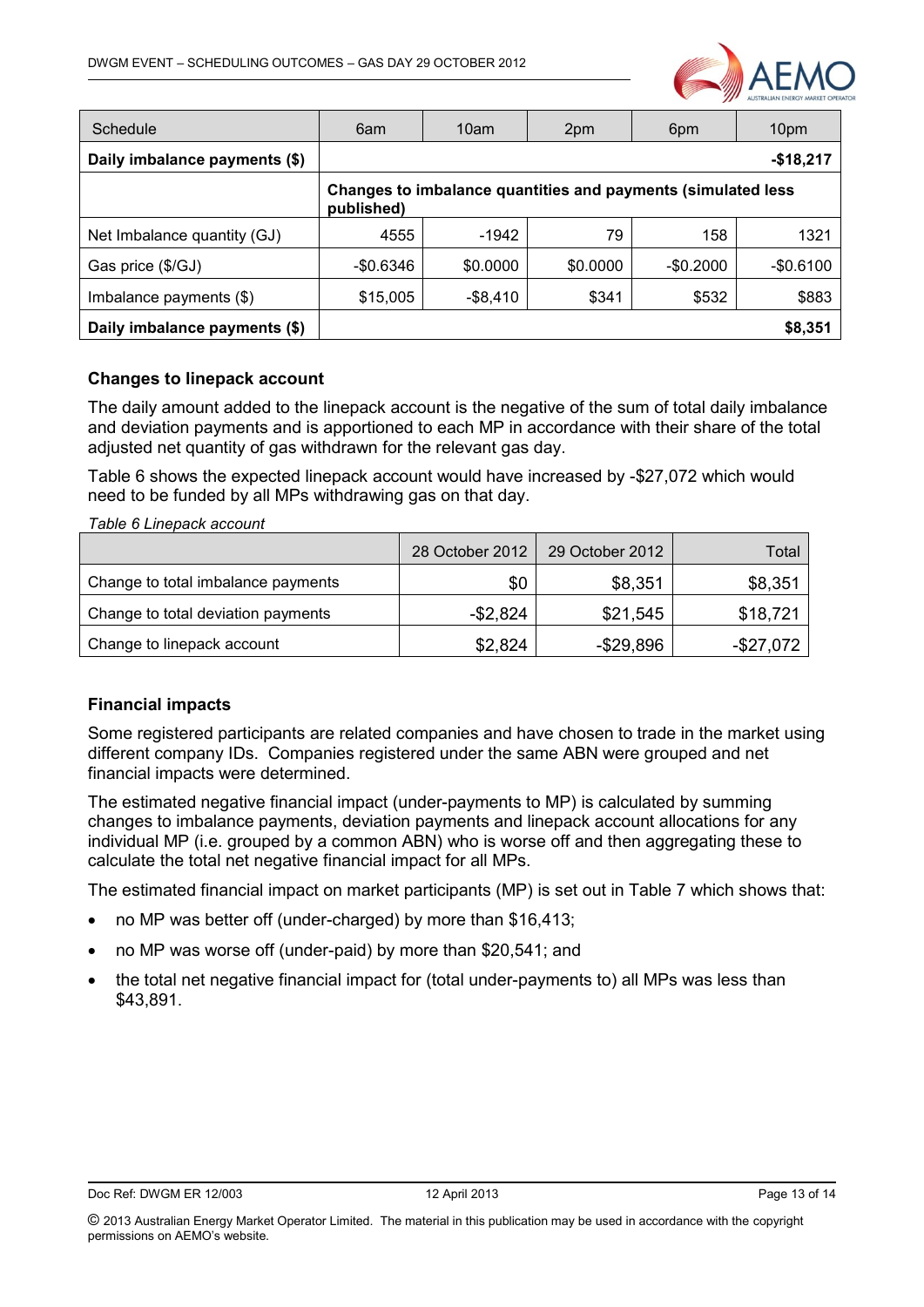

| Schedule                      | 6am        | 10am        | 2pm                                                          | 6pm        | 10pm       |
|-------------------------------|------------|-------------|--------------------------------------------------------------|------------|------------|
| Daily imbalance payments (\$) |            |             |                                                              |            | $-$18,217$ |
|                               | published) |             | Changes to imbalance quantities and payments (simulated less |            |            |
| Net Imbalance quantity (GJ)   | 4555       | -1942       | 79                                                           | 158        | 1321       |
| Gas price (\$/GJ)             | -\$0.6346  | \$0.0000    | \$0.0000                                                     | $-$0.2000$ | $-$0.6100$ |
| Imbalance payments (\$)       | \$15,005   | $-$ \$8,410 | \$341                                                        | \$532      | \$883      |
| Daily imbalance payments (\$) |            |             |                                                              |            | \$8,351    |

#### **Changes to linepack account**

The daily amount added to the linepack account is the negative of the sum of total daily imbalance and deviation payments and is apportioned to each MP in accordance with their share of the total adjusted net quantity of gas withdrawn for the relevant gas day.

Table 6 shows the expected linepack account would have increased by -\$27,072 which would need to be funded by all MPs withdrawing gas on that day.

| Table 6 Linepack account           |                 |                 |              |  |  |  |
|------------------------------------|-----------------|-----------------|--------------|--|--|--|
|                                    | 28 October 2012 | 29 October 2012 | Total        |  |  |  |
| Change to total imbalance payments | \$0             | \$8,351         | \$8,351      |  |  |  |
| Change to total deviation payments | $-$ \$2,824     | \$21,545        | \$18,721     |  |  |  |
| Change to linepack account         | \$2,824         | $-$ \$29,896    | $-$ \$27,072 |  |  |  |

#### **Financial impacts**

Some registered participants are related companies and have chosen to trade in the market using different company IDs. Companies registered under the same ABN were grouped and net financial impacts were determined.

The estimated negative financial impact (under-payments to MP) is calculated by summing changes to imbalance payments, deviation payments and linepack account allocations for any individual MP (i.e. grouped by a common ABN) who is worse off and then aggregating these to calculate the total net negative financial impact for all MPs.

The estimated financial impact on market participants (MP) is set out in Table 7 which shows that:

- no MP was better off (under-charged) by more than \$16,413;
- no MP was worse off (under-paid) by more than \$20,541; and
- the total net negative financial impact for (total under-payments to) all MPs was less than \$43,891.